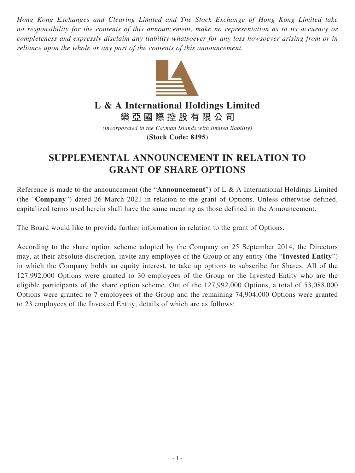*Hong Kong Exchanges and Clearing Limited and The Stock Exchange of Hong Kong Limited take no responsibility for the contents of this announcement, make no representation as to its accuracy or completeness and expressly disclaim any liability whatsoever for any loss howsoever arising from or in reliance upon the whole or any part of the contents of this announcement.*



**L & A International Holdings Limited**

**樂亞國際控股有限公司**

*(incorporated in the Cayman Islands with limited liability)* **(Stock Code: 8195)**

## **SUPPLEMENTAL ANNOUNCEMENT IN RELATION TO GRANT OF SHARE OPTIONS**

Reference is made to the announcement (the "**Announcement**") of L & A International Holdings Limited (the "**Company**") dated 26 March 2021 in relation to the grant of Options. Unless otherwise defined, capitalized terms used herein shall have the same meaning as those defined in the Announcement.

The Board would like to provide further information in relation to the grant of Options.

According to the share option scheme adopted by the Company on 25 September 2014, the Directors may, at their absolute discretion, invite any employee of the Group or any entity (the "**Invested Entity**") in which the Company holds an equity interest, to take up options to subscribe for Shares. All of the 127,992,000 Options were granted to 30 employees of the Group or the Invested Entity who are the eligible participants of the share option scheme. Out of the 127,992,000 Options, a total of 53,088,000 Options were granted to 7 employees of the Group and the remaining 74,904,000 Options were granted to 23 employees of the Invested Entity, details of which are as follows: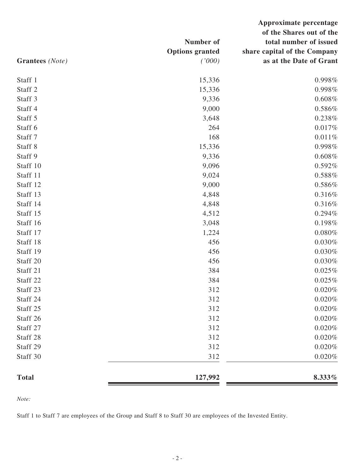| Grantees (Note)    | Number of<br><b>Options</b> granted<br>(1000) | Approximate percentage<br>of the Shares out of the<br>total number of issued<br>share capital of the Company<br>as at the Date of Grant |
|--------------------|-----------------------------------------------|-----------------------------------------------------------------------------------------------------------------------------------------|
| Staff 1            | 15,336                                        | 0.998%                                                                                                                                  |
| Staff <sub>2</sub> | 15,336                                        | 0.998%                                                                                                                                  |
| Staff 3            | 9,336                                         | 0.608%                                                                                                                                  |
| Staff 4            | 9,000                                         | 0.586%                                                                                                                                  |
| Staff 5            | 3,648                                         | 0.238%                                                                                                                                  |
| Staff 6            | 264                                           | 0.017%                                                                                                                                  |
| Staff 7            | 168                                           | 0.011%                                                                                                                                  |
| Staff 8            | 15,336                                        | 0.998%                                                                                                                                  |
| Staff 9            | 9,336                                         | 0.608%                                                                                                                                  |
| Staff 10           | 9,096                                         | 0.592%                                                                                                                                  |
| Staff 11           | 9,024                                         | 0.588%                                                                                                                                  |
| Staff 12           | 9,000                                         | 0.586%                                                                                                                                  |
| Staff 13           | 4,848                                         | 0.316%                                                                                                                                  |
| Staff 14           | 4,848                                         | 0.316%                                                                                                                                  |
| Staff 15           | 4,512                                         | 0.294%                                                                                                                                  |
| Staff 16           | 3,048                                         | 0.198%                                                                                                                                  |
| Staff 17           | 1,224                                         | 0.080%                                                                                                                                  |
| Staff 18           | 456                                           | 0.030%                                                                                                                                  |
| Staff 19           | 456                                           | 0.030%                                                                                                                                  |
| Staff 20           | 456                                           | 0.030%                                                                                                                                  |
| Staff 21           | 384                                           | 0.025%                                                                                                                                  |
| Staff 22           | 384                                           | $0.025\%$                                                                                                                               |
| Staff 23           | 312                                           | $0.020\%$                                                                                                                               |
| Staff 24           | 312                                           | 0.020%                                                                                                                                  |
| Staff 25           | 312                                           | $0.020\%$                                                                                                                               |
| Staff 26           | 312                                           | 0.020%                                                                                                                                  |
| Staff 27           | 312                                           | 0.020%                                                                                                                                  |
| Staff 28           | 312                                           | $0.020\%$                                                                                                                               |
| Staff 29           | 312                                           | 0.020%                                                                                                                                  |
| Staff 30           | 312                                           | $0.020\%$                                                                                                                               |
| <b>Total</b>       | 127,992                                       | 8.333%                                                                                                                                  |

*Note:*

Staff 1 to Staff 7 are employees of the Group and Staff 8 to Staff 30 are employees of the Invested Entity.